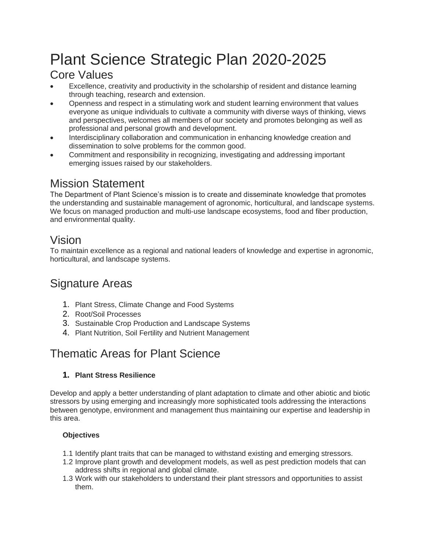# Plant Science Strategic Plan 2020-2025

## Core Values

- Excellence, creativity and productivity in the scholarship of resident and distance learning through teaching, research and extension.
- Openness and respect in a stimulating work and student learning environment that values everyone as unique individuals to cultivate a community with diverse ways of thinking, views and perspectives, welcomes all members of our society and promotes belonging as well as professional and personal growth and development.
- Interdisciplinary collaboration and communication in enhancing knowledge creation and dissemination to solve problems for the common good.
- Commitment and responsibility in recognizing, investigating and addressing important emerging issues raised by our stakeholders.

## Mission Statement

The Department of Plant Science's mission is to create and disseminate knowledge that promotes the understanding and sustainable management of agronomic, horticultural, and landscape systems. We focus on managed production and multi-use landscape ecosystems, food and fiber production, and environmental quality.

## Vision

To maintain excellence as a regional and national leaders of knowledge and expertise in agronomic, horticultural, and landscape systems.

## Signature Areas

- 1. Plant Stress, Climate Change and Food Systems
- 2. Root/Soil Processes
- 3. Sustainable Crop Production and Landscape Systems
- 4. Plant Nutrition, Soil Fertility and Nutrient Management

## Thematic Areas for Plant Science

#### **1. Plant Stress Resilience**

Develop and apply a better understanding of plant adaptation to climate and other abiotic and biotic stressors by using emerging and increasingly more sophisticated tools addressing the interactions between genotype, environment and management thus maintaining our expertise and leadership in this area.

#### **Objectives**

- 1.1 Identify plant traits that can be managed to withstand existing and emerging stressors.
- 1.2 Improve plant growth and development models, as well as pest prediction models that can address shifts in regional and global climate.
- 1.3 Work with our stakeholders to understand their plant stressors and opportunities to assist them.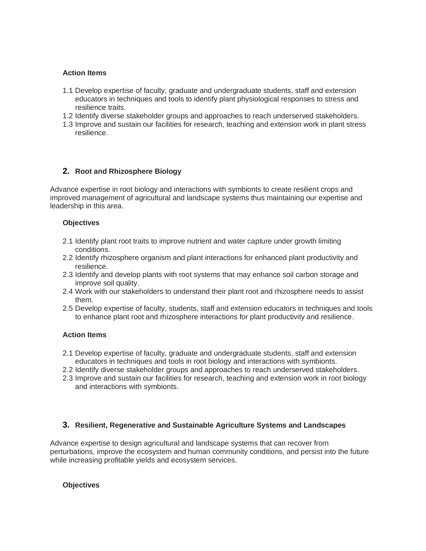#### **Action Items**

- 1.1 Develop expertise of faculty, graduate and undergraduate students, staff and extension educators in techniques and tools to identify plant physiological responses to stress and resilience traits.
- 1.2 Identify diverse stakeholder groups and approaches to reach underserved stakeholders.
- 1.3 Improve and sustain our facilities for research, teaching and extension work in plant stress resilience.

#### **2. Root and Rhizosphere Biology**

Advance expertise in root biology and interactions with symbionts to create resilient crops and improved management of agricultural and landscape systems thus maintaining our expertise and leadership in this area.

#### **Objectives**

- 2.1 Identify plant root traits to improve nutrient and water capture under growth limiting conditions.
- 2.2 Identify rhizosphere organism and plant interactions for enhanced plant productivity and resilience.
- 2.3 Identify and develop plants with root systems that may enhance soil carbon storage and improve soil quality.
- 2.4 Work with our stakeholders to understand their plant root and rhizosphere needs to assist them.
- 2.5 Develop expertise of faculty, students, staff and extension educators in techniques and tools to enhance plant root and rhizosphere interactions for plant productivity and resilience.

#### **Action Items**

- 2.1 Develop expertise of faculty, graduate and undergraduate students, staff and extension educators in techniques and tools in root biology and interactions with symbionts.
- 2.2 Identify diverse stakeholder groups and approaches to reach underserved stakeholders.
- 2.3 Improve and sustain our facilities for research, teaching and extension work in root biology and interactions with symbionts.

#### **3. Resilient, Regenerative and Sustainable Agriculture Systems and Landscapes**

Advance expertise to design agricultural and landscape systems that can recover from perturbations, improve the ecosystem and human community conditions, and persist into the future while increasing profitable yields and ecosystem services.

#### **Objectives**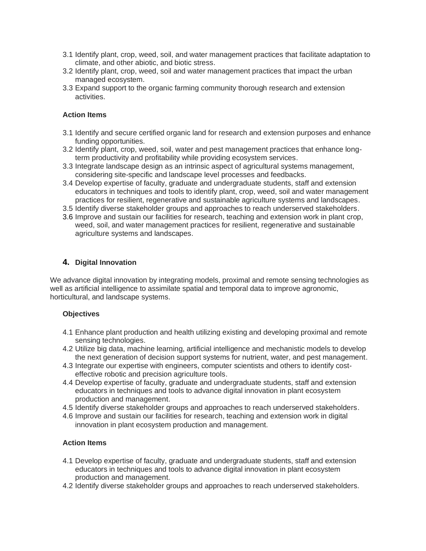- 3.1 Identify plant, crop, weed, soil, and water management practices that facilitate adaptation to climate, and other abiotic, and biotic stress.
- 3.2 Identify plant, crop, weed, soil and water management practices that impact the urban managed ecosystem.
- 3.3 Expand support to the organic farming community thorough research and extension activities.

#### **Action Items**

- 3.1 Identify and secure certified organic land for research and extension purposes and enhance funding opportunities.
- 3.2 Identify plant, crop, weed, soil, water and pest management practices that enhance longterm productivity and profitability while providing ecosystem services.
- 3.3 Integrate landscape design as an intrinsic aspect of agricultural systems management, considering site-specific and landscape level processes and feedbacks.
- 3.4 Develop expertise of faculty, graduate and undergraduate students, staff and extension educators in techniques and tools to identify plant, crop, weed, soil and water management practices for resilient, regenerative and sustainable agriculture systems and landscapes.
- 3.5 Identify diverse stakeholder groups and approaches to reach underserved stakeholders.
- 3.6 Improve and sustain our facilities for research, teaching and extension work in plant crop, weed, soil, and water management practices for resilient, regenerative and sustainable agriculture systems and landscapes.

#### **4. Digital Innovation**

We advance digital innovation by integrating models, proximal and remote sensing technologies as well as artificial intelligence to assimilate spatial and temporal data to improve agronomic, horticultural, and landscape systems.

#### **Objectives**

- 4.1 Enhance plant production and health utilizing existing and developing proximal and remote sensing technologies.
- 4.2 Utilize big data, machine learning, artificial intelligence and mechanistic models to develop the next generation of decision support systems for nutrient, water, and pest management.
- 4.3 Integrate our expertise with engineers, computer scientists and others to identify costeffective robotic and precision agriculture tools.
- 4.4 Develop expertise of faculty, graduate and undergraduate students, staff and extension educators in techniques and tools to advance digital innovation in plant ecosystem production and management.
- 4.5 Identify diverse stakeholder groups and approaches to reach underserved stakeholders.
- 4.6 Improve and sustain our facilities for research, teaching and extension work in digital innovation in plant ecosystem production and management.

#### **Action Items**

- 4.1 Develop expertise of faculty, graduate and undergraduate students, staff and extension educators in techniques and tools to advance digital innovation in plant ecosystem production and management.
- 4.2 Identify diverse stakeholder groups and approaches to reach underserved stakeholders.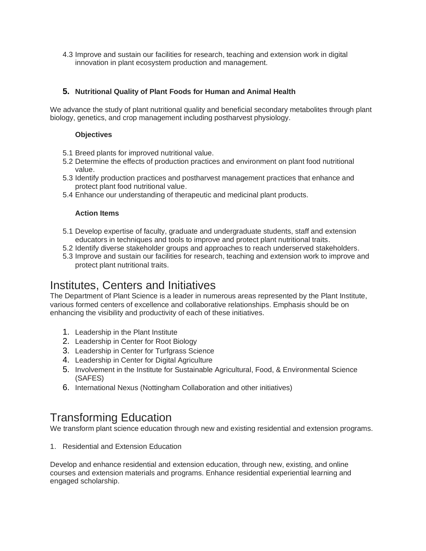4.3 Improve and sustain our facilities for research, teaching and extension work in digital innovation in plant ecosystem production and management.

#### **5. Nutritional Quality of Plant Foods for Human and Animal Health**

We advance the study of plant nutritional quality and beneficial secondary metabolites through plant biology, genetics, and crop management including postharvest physiology.

#### **Objectives**

- 5.1 Breed plants for improved nutritional value.
- 5.2 Determine the effects of production practices and environment on plant food nutritional value.
- 5.3 Identify production practices and postharvest management practices that enhance and protect plant food nutritional value.
- 5.4 Enhance our understanding of therapeutic and medicinal plant products.

#### **Action Items**

- 5.1 Develop expertise of faculty, graduate and undergraduate students, staff and extension educators in techniques and tools to improve and protect plant nutritional traits.
- 5.2 Identify diverse stakeholder groups and approaches to reach underserved stakeholders.
- 5.3 Improve and sustain our facilities for research, teaching and extension work to improve and protect plant nutritional traits.

### Institutes, Centers and Initiatives

The Department of Plant Science is a leader in numerous areas represented by the Plant Institute, various formed centers of excellence and collaborative relationships. Emphasis should be on enhancing the visibility and productivity of each of these initiatives.

- 1. Leadership in the Plant Institute
- 2. Leadership in Center for Root Biology
- 3. Leadership in Center for Turfgrass Science
- 4. Leadership in Center for Digital Agriculture
- 5. Involvement in the Institute for Sustainable Agricultural, Food, & Environmental Science (SAFES)
- 6. International Nexus (Nottingham Collaboration and other initiatives)

### Transforming Education

We transform plant science education through new and existing residential and extension programs.

1. Residential and Extension Education

Develop and enhance residential and extension education, through new, existing, and online courses and extension materials and programs. Enhance residential experiential learning and engaged scholarship.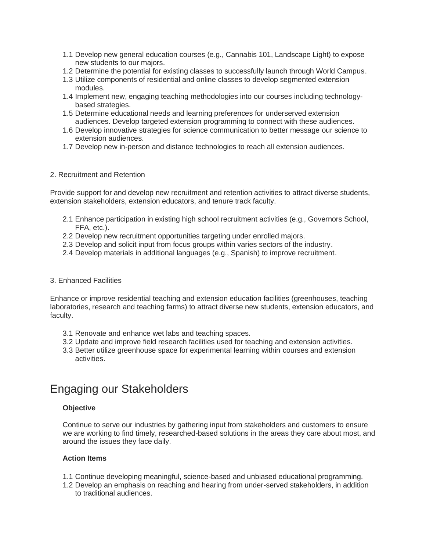- 1.1 Develop new general education courses (e.g., Cannabis 101, Landscape Light) to expose new students to our majors.
- 1.2 Determine the potential for existing classes to successfully launch through World Campus.
- 1.3 Utilize components of residential and online classes to develop segmented extension modules.
- 1.4 Implement new, engaging teaching methodologies into our courses including technologybased strategies.
- 1.5 Determine educational needs and learning preferences for underserved extension audiences. Develop targeted extension programming to connect with these audiences.
- 1.6 Develop innovative strategies for science communication to better message our science to extension audiences.
- 1.7 Develop new in-person and distance technologies to reach all extension audiences.

#### 2. Recruitment and Retention

Provide support for and develop new recruitment and retention activities to attract diverse students, extension stakeholders, extension educators, and tenure track faculty.

- 2.1 Enhance participation in existing high school recruitment activities (e.g., Governors School, FFA, etc.).
- 2.2 Develop new recruitment opportunities targeting under enrolled majors.
- 2.3 Develop and solicit input from focus groups within varies sectors of the industry.
- 2.4 Develop materials in additional languages (e.g., Spanish) to improve recruitment.

#### 3. Enhanced Facilities

Enhance or improve residential teaching and extension education facilities (greenhouses, teaching laboratories, research and teaching farms) to attract diverse new students, extension educators, and faculty.

- 3.1 Renovate and enhance wet labs and teaching spaces.
- 3.2 Update and improve field research facilities used for teaching and extension activities.
- 3.3 Better utilize greenhouse space for experimental learning within courses and extension activities.

### Engaging our Stakeholders

#### **Objective**

Continue to serve our industries by gathering input from stakeholders and customers to ensure we are working to find timely, researched-based solutions in the areas they care about most, and around the issues they face daily.

#### **Action Items**

- 1.1 Continue developing meaningful, science-based and unbiased educational programming.
- 1.2 Develop an emphasis on reaching and hearing from under-served stakeholders, in addition to traditional audiences.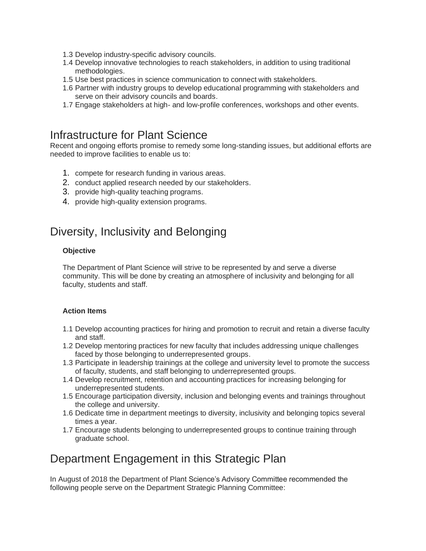- 1.3 Develop industry-specific advisory councils.
- 1.4 Develop innovative technologies to reach stakeholders, in addition to using traditional methodologies.
- 1.5 Use best practices in science communication to connect with stakeholders.
- 1.6 Partner with industry groups to develop educational programming with stakeholders and serve on their advisory councils and boards.
- 1.7 Engage stakeholders at high- and low-profile conferences, workshops and other events.

### Infrastructure for Plant Science

Recent and ongoing efforts promise to remedy some long-standing issues, but additional efforts are needed to improve facilities to enable us to:

- 1. compete for research funding in various areas.
- 2. conduct applied research needed by our stakeholders.
- 3. provide high-quality teaching programs.
- 4. provide high-quality extension programs.

## Diversity, Inclusivity and Belonging

#### **Objective**

The Department of Plant Science will strive to be represented by and serve a diverse community. This will be done by creating an atmosphere of inclusivity and belonging for all faculty, students and staff.

#### **Action Items**

- 1.1 Develop accounting practices for hiring and promotion to recruit and retain a diverse faculty and staff.
- 1.2 Develop mentoring practices for new faculty that includes addressing unique challenges faced by those belonging to underrepresented groups.
- 1.3 Participate in leadership trainings at the college and university level to promote the success of faculty, students, and staff belonging to underrepresented groups.
- 1.4 Develop recruitment, retention and accounting practices for increasing belonging for underrepresented students.
- 1.5 Encourage participation diversity, inclusion and belonging events and trainings throughout the college and university.
- 1.6 Dedicate time in department meetings to diversity, inclusivity and belonging topics several times a year.
- 1.7 Encourage students belonging to underrepresented groups to continue training through graduate school.

## Department Engagement in this Strategic Plan

In August of 2018 the Department of Plant Science's Advisory Committee recommended the following people serve on the Department Strategic Planning Committee: